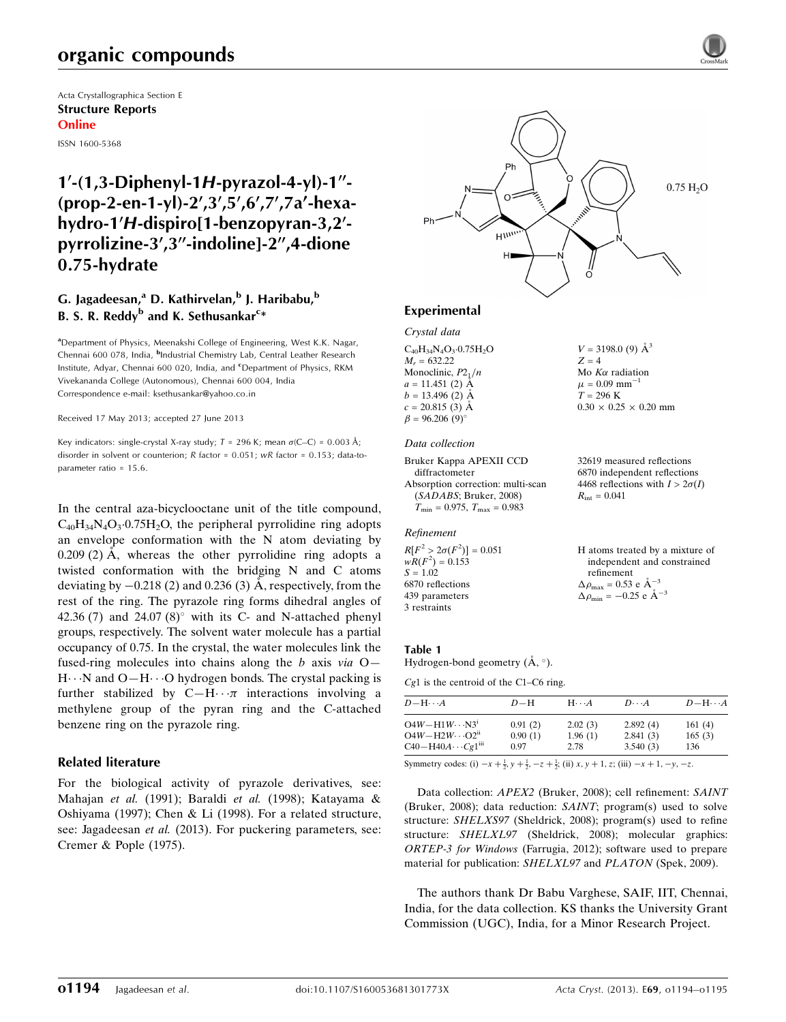# organic compounds

Acta Crystallographica Section E Structure Reports Online ISSN 1600-5368

# $1'$ -(1,3-Diphenyl-1H-pyrazol-4-yl)-1"- $(prop-2-en-1-vl)-2',3',5',6',7',7a'-hexa$ hydro-1'H-dispiro[1-benzopyran-3,2'pyrrolizine-3',3"-indoline]-2",4-dione 0.75-hydrate

#### G. Jagadeesan,<sup>a</sup> D. Kathirvelan,<sup>b</sup> J. Haribabu,<sup>b</sup> B. S. R. Reddy<sup>b</sup> and K. Sethusankar<sup>c</sup>\*

<sup>a</sup>Department of Physics, Meenakshi College of Engineering, West K.K. Nagar, Chennai 600 078, India, <sup>b</sup>Industrial Chemistry Lab, Central Leather Research Institute, Adyar, Chennai 600 020, India, and <sup>c</sup>Department of Physics, RKM Vivekananda College (Autonomous), Chennai 600 004, India Correspondence e-mail: [ksethusankar@yahoo.co.in](https://scripts.iucr.org/cgi-bin/cr.cgi?rm=pdfbb&cnor=ld2105&bbid=BB10)

Received 17 May 2013; accepted 27 June 2013

Key indicators: single-crystal X-ray study;  $T = 296$  K; mean  $\sigma$ (C–C) = 0.003 Å; disorder in solvent or counterion; R factor = 0.051; wR factor = 0.153; data-toparameter ratio = 15.6.

In the central aza-bicyclooctane unit of the title compound,  $C_{40}H_{34}N_4O_3.0.75H_2O$ , the peripheral pyrrolidine ring adopts an envelope conformation with the N atom deviating by  $0.209(2)$  Å, whereas the other pyrrolidine ring adopts a twisted conformation with the bridging N and C atoms deviating by  $-0.218$  (2) and 0.236 (3) Å, respectively, from the rest of the ring. The pyrazole ring forms dihedral angles of 42.36 (7) and 24.07 (8) $^{\circ}$  with its C- and N-attached phenyl groups, respectively. The solvent water molecule has a partial occupancy of 0.75. In the crystal, the water molecules link the fused-ring molecules into chains along the b axis via  $O-$ H···N and O-H···O hydrogen bonds. The crystal packing is further stabilized by  $C-H \cdot \cdot \pi$  interactions involving a methylene group of the pyran ring and the C-attached benzene ring on the pyrazole ring.

#### Related literature

For the biological activity of pyrazole derivatives, see: Mahajan et al. (1991); Baraldi et al. (1998); Katayama & Oshiyama (1997); Chen & Li (1998). For a related structure, see: Jagadeesan et al. (2013). For puckering parameters, see: Cremer & Pople (1975).



#### Experimental

Crystal data  $C_{40}H_{34}N_4O_3.0.75H_2O$  $M_r = 632.22$ Monoclinic,  $P2_1/n$  $a = 11.451$  (2)  $\AA$  $b = 13.496$  (2)  $\AA$  $c = 20.815(3)$  Å  $\beta = 96.206 (9)$ °

#### Data collection

```
Bruker Kappa APEXII CCD
  diffractometer
Absorption correction: multi-scan
  (SADABS; Bruker, 2008)
  T_{\text{min}} = 0.975, T_{\text{max}} = 0.983
```
#### Refinement

 $R[F^2 > 2\sigma(F^2)] = 0.051$  $wR(F^2) = 0.153$  $S = 1.02$ 6870 reflections 439 parameters 3 restraints

 $Z = 4$ Mo  $K\alpha$  radiation  $\mu$  = 0.09 mm<sup>-1</sup>  $T = 296 K$  $0.30 \times 0.25 \times 0.20$  mm

 $V = 3198.0$  (9)  $\AA^3$ 

32619 measured reflections 6870 independent reflections 4468 reflections with  $I > 2\sigma(I)$  $R_{\text{int}} = 0.041$ 

H atoms treated by a mixture of independent and constrained refinement  $\Delta \rho_{\text{max}} = 0.53 \text{ e A}^{-3}$  $\Delta \rho_{\text{min}} = -0.25$  e  $\AA^{-3}$ 

#### Table 1

Hydrogen-bond geometry  $(A, \circ)$ .

Cg1 is the centroid of the C1–C6 ring.

| $D - H \cdots A$                       | $D-H$   | $H\cdots A$ | $D\cdots A$ | $D - H \cdots A$ |
|----------------------------------------|---------|-------------|-------------|------------------|
| $O4W - H1W \cdots N3^i$                | 0.91(2) | 2.02(3)     | 2.892(4)    | 161(4)           |
| $O4W - H2W \cdots O2$ <sup>ii</sup>    | 0.90(1) | 1.96(1)     | 2.841(3)    | 165(3)           |
| $C40 - H40A \cdots Cg1$ <sup>iii</sup> | 0.97    | 2.78        | 3.540(3)    | 136              |

Symmetry codes: (i)  $-x + \frac{1}{2}$ ,  $y + \frac{1}{2}$ ,  $-z + \frac{1}{2}$ ; (ii)  $x, y + 1$ , z; (iii)  $-x + 1$ ,  $-y$ ,  $-z$ .

Data collection: *APEX2* (Bruker, 2008); cell refinement: *SAINT* (Bruker, 2008); data reduction: SAINT; program(s) used to solve structure: SHELXS97 (Sheldrick, 2008); program(s) used to refine structure: SHELXL97 (Sheldrick, 2008); molecular graphics: ORTEP-3 for Windows (Farrugia, 2012); software used to prepare material for publication: SHELXL97 and PLATON (Spek, 2009).

The authors thank Dr Babu Varghese, SAIF, IIT, Chennai, India, for the data collection. KS thanks the University Grant Commission (UGC), India, for a Minor Research Project.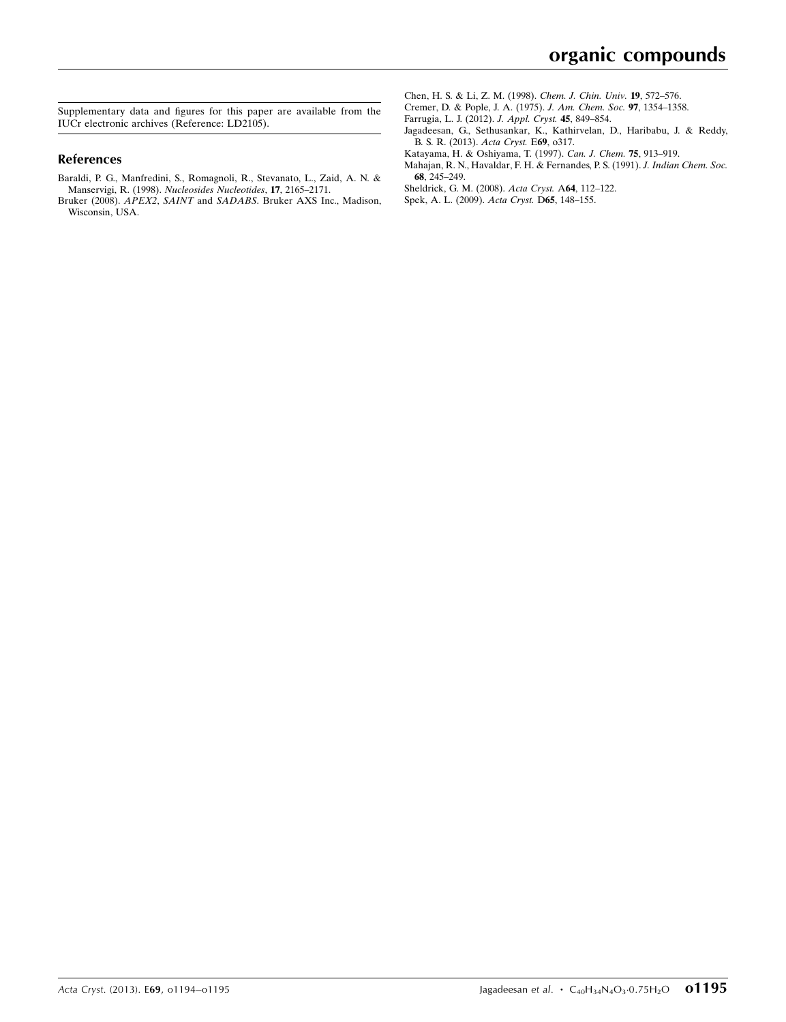Supplementary data and figures for this paper are available from the IUCr electronic archives (Reference: LD2105).

#### References

- [Baraldi, P. G., Manfredini, S., Romagnoli, R., Stevanato, L., Zaid, A. N. &](https://scripts.iucr.org/cgi-bin/cr.cgi?rm=pdfbb&cnor=ld2105&bbid=BB1) Manservigi, R. (1998). [Nucleosides Nucleotides](https://scripts.iucr.org/cgi-bin/cr.cgi?rm=pdfbb&cnor=ld2105&bbid=BB1), 17, 2165–2171.
- Bruker (2008). APEX2, SAINT and SADABS[. Bruker AXS Inc., Madison,](https://scripts.iucr.org/cgi-bin/cr.cgi?rm=pdfbb&cnor=ld2105&bbid=BB2) [Wisconsin, USA.](https://scripts.iucr.org/cgi-bin/cr.cgi?rm=pdfbb&cnor=ld2105&bbid=BB2)
- [Chen, H. S. & Li, Z. M. \(1998\).](https://scripts.iucr.org/cgi-bin/cr.cgi?rm=pdfbb&cnor=ld2105&bbid=BB3) Chem. J. Chin. Univ. 19, 572–576.
- [Cremer, D. & Pople, J. A. \(1975\).](https://scripts.iucr.org/cgi-bin/cr.cgi?rm=pdfbb&cnor=ld2105&bbid=BB4) J. Am. Chem. Soc. 97, 1354–1358.
- [Farrugia, L. J. \(2012\).](https://scripts.iucr.org/cgi-bin/cr.cgi?rm=pdfbb&cnor=ld2105&bbid=BB5) J. Appl. Cryst. 45, 849–854.
- [Jagadeesan, G., Sethusankar, K., Kathirvelan, D., Haribabu, J. & Reddy,](https://scripts.iucr.org/cgi-bin/cr.cgi?rm=pdfbb&cnor=ld2105&bbid=BB6) [B. S. R. \(2013\).](https://scripts.iucr.org/cgi-bin/cr.cgi?rm=pdfbb&cnor=ld2105&bbid=BB6) Acta Cryst. E69, o317.
- [Katayama, H. & Oshiyama, T. \(1997\).](https://scripts.iucr.org/cgi-bin/cr.cgi?rm=pdfbb&cnor=ld2105&bbid=BB7) Can. J. Chem. 75, 913–919.
- [Mahajan, R. N., Havaldar, F. H. & Fernandes, P. S. \(1991\).](https://scripts.iucr.org/cgi-bin/cr.cgi?rm=pdfbb&cnor=ld2105&bbid=BB8) J. Indian Chem. Soc. 68[, 245–249.](https://scripts.iucr.org/cgi-bin/cr.cgi?rm=pdfbb&cnor=ld2105&bbid=BB8)
- [Sheldrick, G. M. \(2008\).](https://scripts.iucr.org/cgi-bin/cr.cgi?rm=pdfbb&cnor=ld2105&bbid=BB9) Acta Cryst. A64, 112–122.
- [Spek, A. L. \(2009\).](https://scripts.iucr.org/cgi-bin/cr.cgi?rm=pdfbb&cnor=ld2105&bbid=BB10) Acta Cryst. D65, 148–155.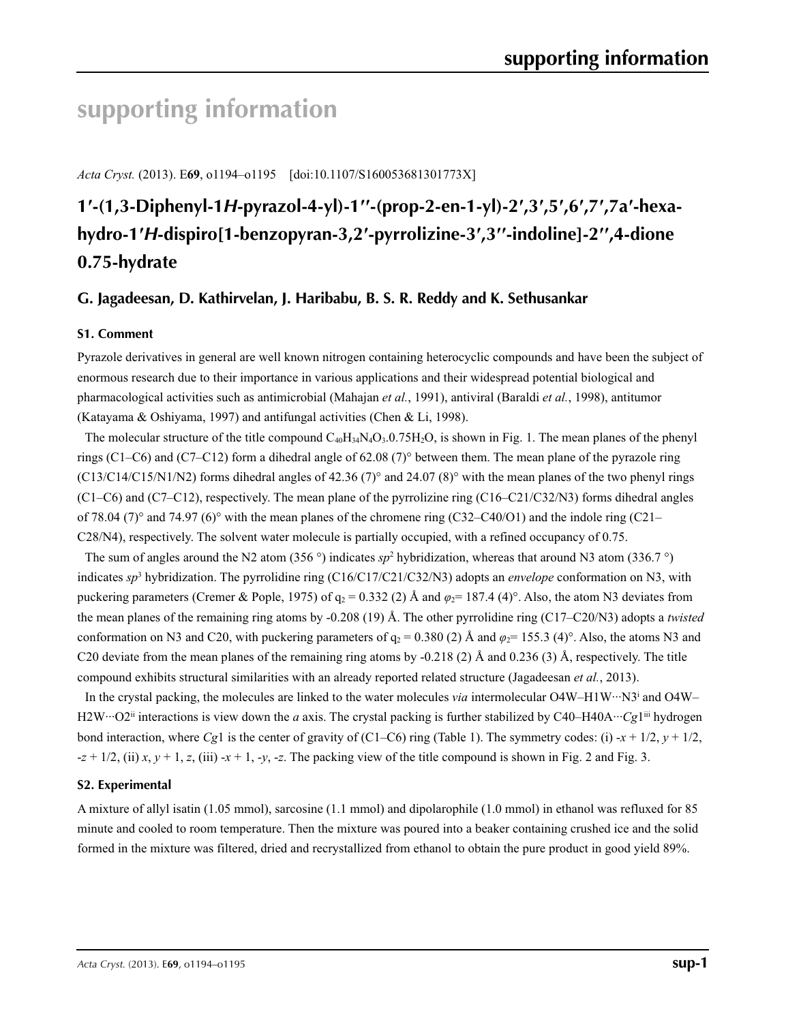# **supporting information**

*Acta Cryst.* (2013). E**69**, o1194–o1195 [doi:10.1107/S160053681301773X]

# **1′-(1,3-Diphenyl-1***H***-pyrazol-4-yl)-1′′-(prop-2-en-1-yl)-2′,3′,5′,6′,7′,7a′-hexahydro-1′***H***-dispiro[1-benzopyran-3,2′-pyrrolizine-3′,3′′-indoline]-2′′,4-dione 0.75-hydrate**

## **G. Jagadeesan, D. Kathirvelan, J. Haribabu, B. S. R. Reddy and K. Sethusankar**

#### **S1. Comment**

Pyrazole derivatives in general are well known nitrogen containing heterocyclic compounds and have been the subject of enormous research due to their importance in various applications and their widespread potential biological and pharmacological activities such as antimicrobial (Mahajan *et al.*, 1991), antiviral (Baraldi *et al.*, 1998), antitumor (Katayama & Oshiyama, 1997) and antifungal activities (Chen & Li, 1998).

The molecular structure of the title compound  $C_{40}H_{34}N_4O_3.0.75H_2O$ , is shown in Fig. 1. The mean planes of the phenyl rings (C1–C6) and (C7–C12) form a dihedral angle of 62.08 (7)° between them. The mean plane of the pyrazole ring  $(C13/C14/C15/N1/N2)$  forms dihedral angles of 42.36 (7)° and 24.07 (8)° with the mean planes of the two phenyl rings (C1–C6) and (C7–C12), respectively. The mean plane of the pyrrolizine ring (C16–C21/C32/N3) forms dihedral angles of 78.04 (7)° and 74.97 (6)° with the mean planes of the chromene ring (C32–C40/O1) and the indole ring (C21– C28/N4), respectively. The solvent water molecule is partially occupied, with a refined occupancy of 0.75.

The sum of angles around the N2 atom (356 $\degree$ ) indicates *sp*<sup>2</sup> hybridization, whereas that around N3 atom (336.7 $\degree$ ) indicates *sp*<sup>3</sup> hybridization. The pyrrolidine ring (C16/C17/C21/C32/N3) adopts an *envelope* conformation on N3, with puckering parameters (Cremer & Pople, 1975) of  $q_2 = 0.332$  (2) Å and  $\varphi_2 = 187.4$  (4)°. Also, the atom N3 deviates from the mean planes of the remaining ring atoms by -0.208 (19) Å. The other pyrrolidine ring (C17–C20/N3) adopts a *twisted* conformation on N3 and C20, with puckering parameters of  $q_2 = 0.380$  (2) Å and  $\varphi_2 = 155.3$  (4)°. Also, the atoms N3 and C20 deviate from the mean planes of the remaining ring atoms by  $-0.218(2)$  Å and  $0.236(3)$  Å, respectively. The title compound exhibits structural similarities with an already reported related structure (Jagadeesan *et al.*, 2013).

In the crystal packing, the molecules are linked to the water molecules *via* intermolecular O4W–H1W···N3<sup>i</sup> and O4W– H2W···O2<sup>ii</sup> interactions is view down the *a* axis. The crystal packing is further stabilized by C40–H40A···*Cg1*<sup>iii</sup> hydrogen bond interaction, where *Cg*1 is the center of gravity of (C1–C6) ring (Table 1). The symmetry codes: (i)  $-x + \frac{1}{2}$ ,  $y + \frac{1}{2}$ ,  $-z + 1/2$ , (ii)  $x, y + 1$ ,  $z$ , (iii)  $-x + 1$ ,  $-y$ ,  $-z$ . The packing view of the title compound is shown in Fig. 2 and Fig. 3.

#### **S2. Experimental**

A mixture of allyl isatin (1.05 mmol), sarcosine (1.1 mmol) and dipolarophile (1.0 mmol) in ethanol was refluxed for 85 minute and cooled to room temperature. Then the mixture was poured into a beaker containing crushed ice and the solid formed in the mixture was filtered, dried and recrystallized from ethanol to obtain the pure product in good yield 89%.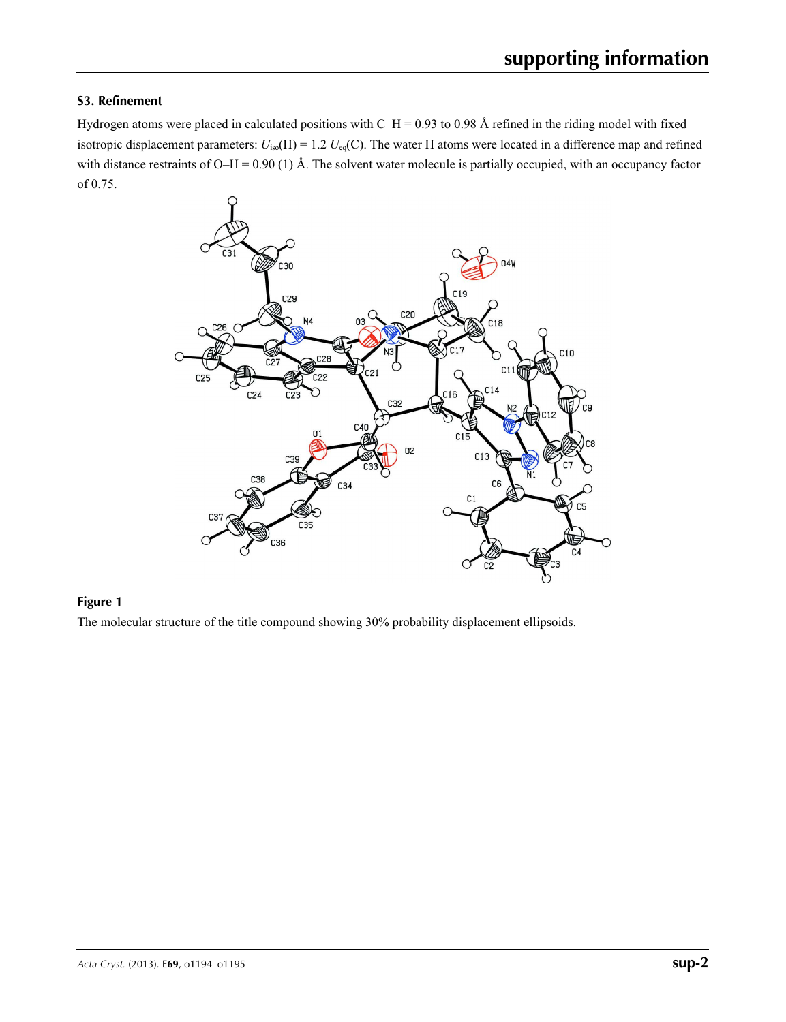#### **S3. Refinement**

Hydrogen atoms were placed in calculated positions with  $C-H = 0.93$  to 0.98 Å refined in the riding model with fixed isotropic displacement parameters:  $U_{iso}(H) = 1.2$   $U_{eq}(C)$ . The water H atoms were located in a difference map and refined with distance restraints of O–H = 0.90 (1) Å. The solvent water molecule is partially occupied, with an occupancy factor of 0.75.



#### **Figure 1**

The molecular structure of the title compound showing 30% probability displacement ellipsoids.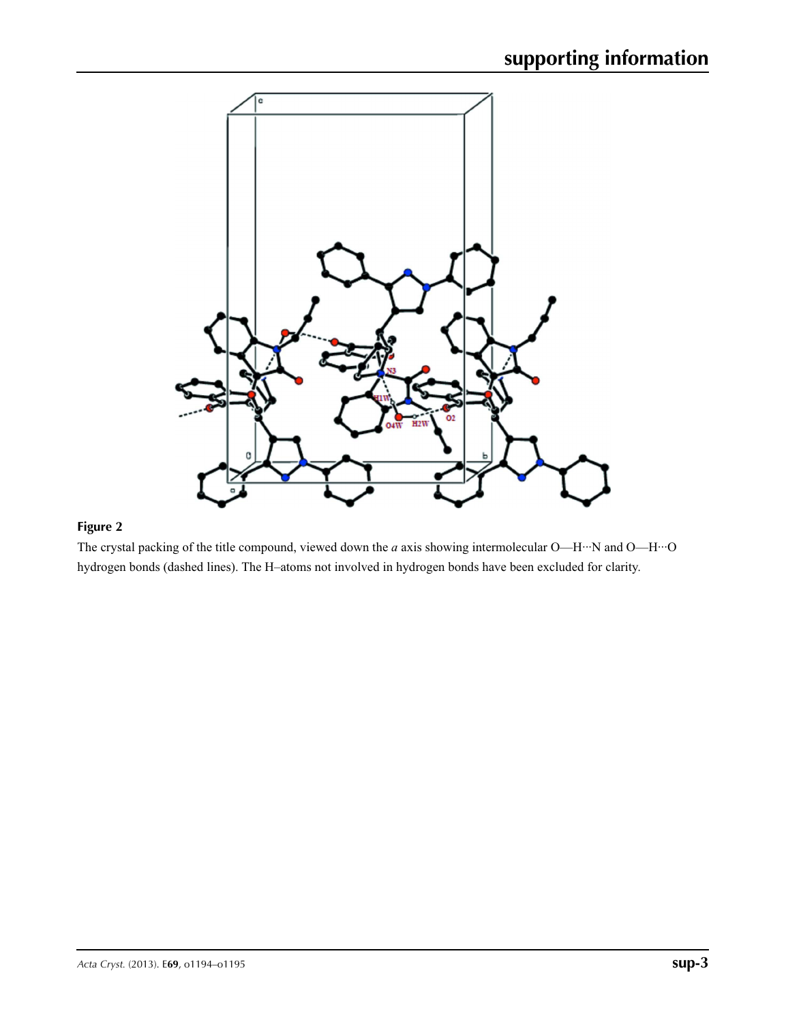

## **Figure 2**

The crystal packing of the title compound, viewed down the *a* axis showing intermolecular O—H···N and O—H···O hydrogen bonds (dashed lines). The H–atoms not involved in hydrogen bonds have been excluded for clarity.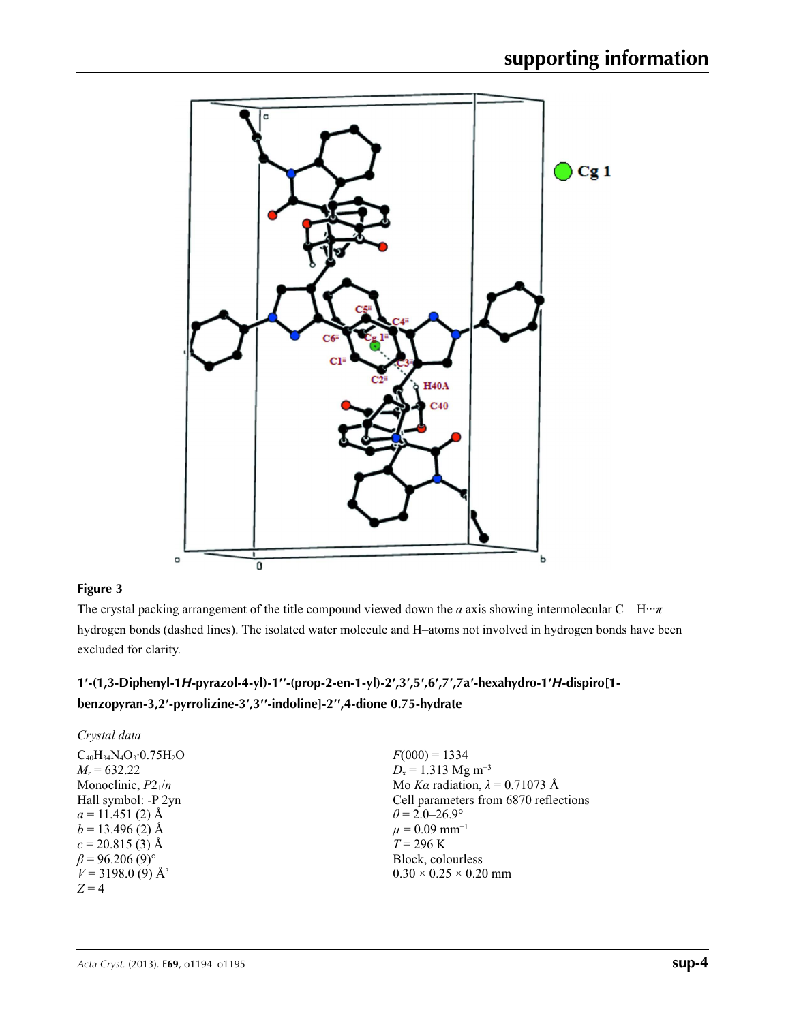

#### **Figure 3**

The crystal packing arrangement of the title compound viewed down the *a* axis showing intermolecular C—H···*π* hydrogen bonds (dashed lines). The isolated water molecule and H–atoms not involved in hydrogen bonds have been excluded for clarity.

# 1'-(1,3-Diphenyl-1H-pyrazol-4-yl)-1"-(prop-2-en-1-yl)-2',3',5',6',7',7a'-hexahydro-1'H-dispiro[1**benzopyran-3,2′-pyrrolizine-3′,3′′-indoline]-2′′,4-dione 0.75-hydrate**

| Crystal data                    |                                        |
|---------------------------------|----------------------------------------|
| $C_{40}H_{34}N_4O_3.0.75H_2O$   | $F(000) = 1334$                        |
| $M_r = 632.22$                  | $D_x = 1.313$ Mg m <sup>-3</sup>       |
| Monoclinic, $P2_1/n$            | Mo Ka radiation, $\lambda = 0.71073$ Å |
| Hall symbol: -P 2yn             | Cell parameters from 6870 reflections  |
| $a = 11.451(2)$ Å               | $\theta = 2.0 - 26.9^{\circ}$          |
| $b = 13.496$ (2) Å              | $\mu = 0.09$ mm <sup>-1</sup>          |
| $c = 20.815(3)$ Å               | $T = 296 \text{ K}$                    |
| $\beta$ = 96.206 (9)°           | Block, colourless                      |
| $V = 3198.0$ (9) Å <sup>3</sup> | $0.30 \times 0.25 \times 0.20$ mm      |
| $Z = 4$                         |                                        |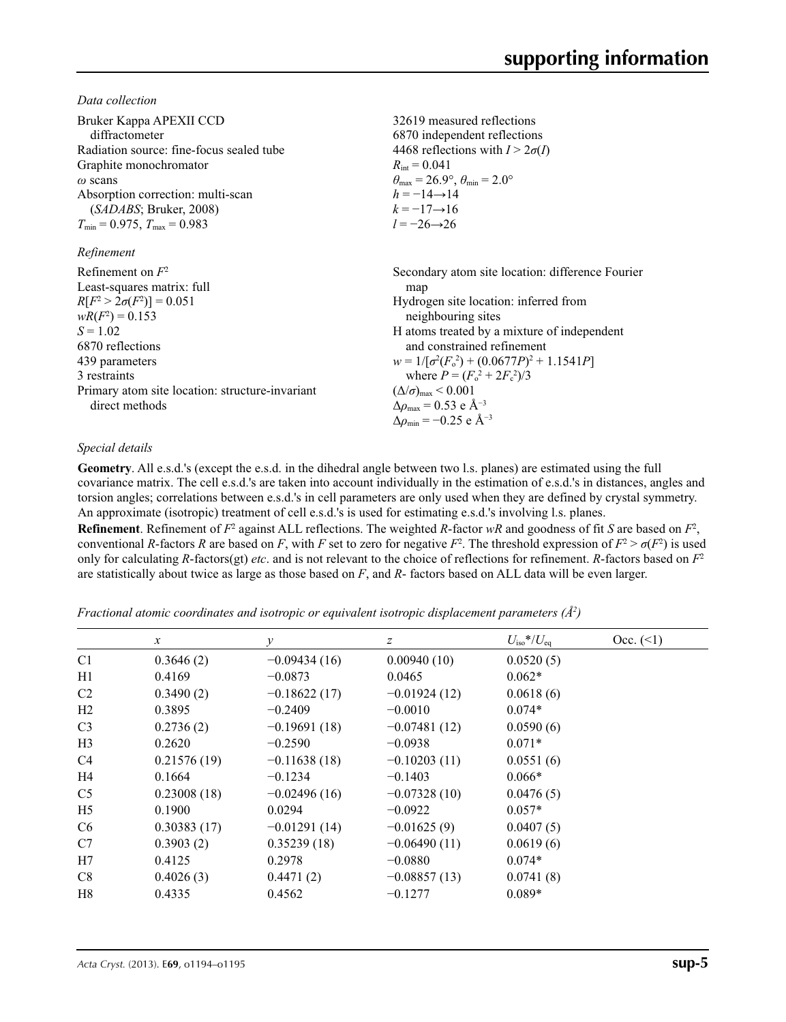*Data collection*

| Bruker Kappa APEXII CCD<br>diffractometer<br>Radiation source: fine-focus sealed tube<br>Graphite monochromator<br>$\omega$ scans<br>Absorption correction: multi-scan<br>(SADABS; Bruker, 2008)<br>$T_{\min}$ = 0.975, $T_{\max}$ = 0.983         | 32619 measured reflections<br>6870 independent reflections<br>4468 reflections with $I > 2\sigma(I)$<br>$R_{\rm int} = 0.041$<br>$\theta_{\text{max}} = 26.9^{\circ}, \theta_{\text{min}} = 2.0^{\circ}$<br>$h = -14 \rightarrow 14$<br>$k = -17 \rightarrow 16$<br>$l = -26 \rightarrow 26$                                                                                                                                                   |
|----------------------------------------------------------------------------------------------------------------------------------------------------------------------------------------------------------------------------------------------------|------------------------------------------------------------------------------------------------------------------------------------------------------------------------------------------------------------------------------------------------------------------------------------------------------------------------------------------------------------------------------------------------------------------------------------------------|
| Refinement                                                                                                                                                                                                                                         |                                                                                                                                                                                                                                                                                                                                                                                                                                                |
| Refinement on $F^2$<br>Least-squares matrix: full<br>$R[F^2 > 2\sigma(F^2)] = 0.051$<br>$wR(F^2) = 0.153$<br>$S = 1.02$<br>6870 reflections<br>439 parameters<br>3 restraints<br>Primary atom site location: structure-invariant<br>direct methods | Secondary atom site location: difference Fourier<br>map<br>Hydrogen site location: inferred from<br>neighbouring sites<br>H atoms treated by a mixture of independent<br>and constrained refinement<br>$w = 1/[\sigma^2(F_0^2) + (0.0677P)^2 + 1.1541P]$<br>where $P = (F_0^2 + 2F_c^2)/3$<br>$(\Delta/\sigma)_{\text{max}}$ < 0.001<br>$\Delta\rho_{\text{max}} = 0.53$ e Å <sup>-3</sup><br>$\Delta\rho_{\rm min} = -0.25$ e Å <sup>-3</sup> |

#### *Special details*

**Geometry**. All e.s.d.'s (except the e.s.d. in the dihedral angle between two l.s. planes) are estimated using the full covariance matrix. The cell e.s.d.'s are taken into account individually in the estimation of e.s.d.'s in distances, angles and torsion angles; correlations between e.s.d.'s in cell parameters are only used when they are defined by crystal symmetry. An approximate (isotropic) treatment of cell e.s.d.'s is used for estimating e.s.d.'s involving l.s. planes.

**Refinement**. Refinement of  $F^2$  against ALL reflections. The weighted *R*-factor  $wR$  and goodness of fit *S* are based on  $F^2$ , conventional *R*-factors *R* are based on *F*, with *F* set to zero for negative  $F^2$ . The threshold expression of  $F^2 > \sigma(F^2)$  is used only for calculating *R*-factors(gt) *etc*. and is not relevant to the choice of reflections for refinement. *R*-factors based on *F*<sup>2</sup> are statistically about twice as large as those based on *F*, and *R*- factors based on ALL data will be even larger.

*Fractional atomic coordinates and isotropic or equivalent isotropic displacement parameters (Å2 )*

|                | $\mathcal{X}$ | $\mathcal V$   | z              | $U_{\rm iso}*/U_{\rm eq}$ | $Occ. ( \leq 1)$ |
|----------------|---------------|----------------|----------------|---------------------------|------------------|
|                |               |                |                |                           |                  |
| C <sub>1</sub> | 0.3646(2)     | $-0.09434(16)$ | 0.00940(10)    | 0.0520(5)                 |                  |
| H1             | 0.4169        | $-0.0873$      | 0.0465         | $0.062*$                  |                  |
| C2             | 0.3490(2)     | $-0.18622(17)$ | $-0.01924(12)$ | 0.0618(6)                 |                  |
| H <sub>2</sub> | 0.3895        | $-0.2409$      | $-0.0010$      | $0.074*$                  |                  |
| C <sub>3</sub> | 0.2736(2)     | $-0.19691(18)$ | $-0.07481(12)$ | 0.0590(6)                 |                  |
| H <sub>3</sub> | 0.2620        | $-0.2590$      | $-0.0938$      | $0.071*$                  |                  |
| C <sub>4</sub> | 0.21576(19)   | $-0.11638(18)$ | $-0.10203(11)$ | 0.0551(6)                 |                  |
| H <sub>4</sub> | 0.1664        | $-0.1234$      | $-0.1403$      | $0.066*$                  |                  |
| C <sub>5</sub> | 0.23008(18)   | $-0.02496(16)$ | $-0.07328(10)$ | 0.0476(5)                 |                  |
| H <sub>5</sub> | 0.1900        | 0.0294         | $-0.0922$      | $0.057*$                  |                  |
| C <sub>6</sub> | 0.30383(17)   | $-0.01291(14)$ | $-0.01625(9)$  | 0.0407(5)                 |                  |
| C7             | 0.3903(2)     | 0.35239(18)    | $-0.06490(11)$ | 0.0619(6)                 |                  |
| H7             | 0.4125        | 0.2978         | $-0.0880$      | $0.074*$                  |                  |
| C8             | 0.4026(3)     | 0.4471(2)      | $-0.08857(13)$ | 0.0741(8)                 |                  |
| H8             | 0.4335        | 0.4562         | $-0.1277$      | $0.089*$                  |                  |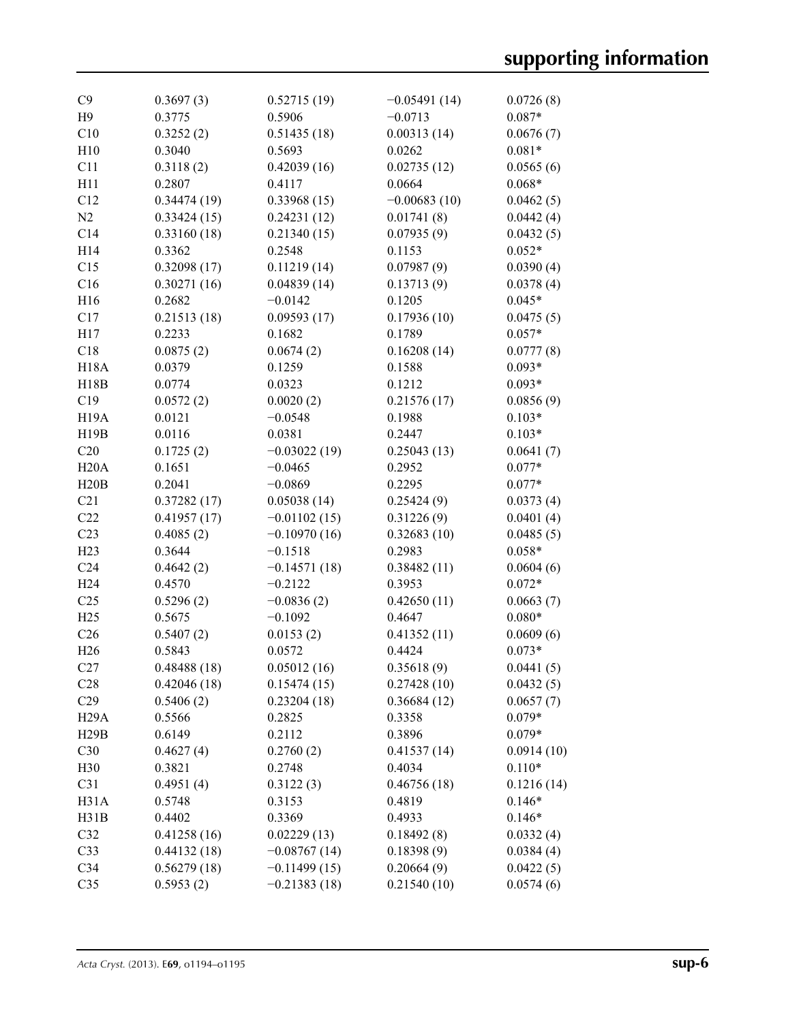| C9                | 0.3697(3)   | 0.52715(19)    | $-0.05491(14)$ | 0.0726(8)  |
|-------------------|-------------|----------------|----------------|------------|
| H9                | 0.3775      | 0.5906         | $-0.0713$      | $0.087*$   |
| C10               | 0.3252(2)   | 0.51435(18)    | 0.00313(14)    | 0.0676(7)  |
| H10               | 0.3040      | 0.5693         | 0.0262         | $0.081*$   |
| C11               | 0.3118(2)   | 0.42039(16)    | 0.02735(12)    | 0.0565(6)  |
| H11               | 0.2807      | 0.4117         | 0.0664         | $0.068*$   |
| C12               | 0.34474(19) | 0.33968(15)    | $-0.00683(10)$ | 0.0462(5)  |
| N2                | 0.33424(15) | 0.24231(12)    | 0.01741(8)     | 0.0442(4)  |
| C14               | 0.33160(18) | 0.21340(15)    | 0.07935(9)     | 0.0432(5)  |
| H14               | 0.3362      | 0.2548         | 0.1153         | $0.052*$   |
| C15               | 0.32098(17) | 0.11219(14)    | 0.07987(9)     | 0.0390(4)  |
| C16               | 0.30271(16) | 0.04839(14)    | 0.13713(9)     | 0.0378(4)  |
| H16               | 0.2682      | $-0.0142$      | 0.1205         | $0.045*$   |
| C17               | 0.21513(18) | 0.09593(17)    | 0.17936(10)    | 0.0475(5)  |
| H17               | 0.2233      | 0.1682         | 0.1789         | $0.057*$   |
| C18               | 0.0875(2)   | 0.0674(2)      | 0.16208(14)    | 0.0777(8)  |
|                   |             |                |                |            |
| <b>H18A</b>       | 0.0379      | 0.1259         | 0.1588         | $0.093*$   |
| H18B              | 0.0774      | 0.0323         | 0.1212         | $0.093*$   |
| C19               | 0.0572(2)   | 0.0020(2)      | 0.21576(17)    | 0.0856(9)  |
| <b>H19A</b>       | 0.0121      | $-0.0548$      | 0.1988         | $0.103*$   |
| H19B              | 0.0116      | 0.0381         | 0.2447         | $0.103*$   |
| C20               | 0.1725(2)   | $-0.03022(19)$ | 0.25043(13)    | 0.0641(7)  |
| H20A              | 0.1651      | $-0.0465$      | 0.2952         | $0.077*$   |
| H20B              | 0.2041      | $-0.0869$      | 0.2295         | $0.077*$   |
| C21               | 0.37282(17) | 0.05038(14)    | 0.25424(9)     | 0.0373(4)  |
| C22               | 0.41957(17) | $-0.01102(15)$ | 0.31226(9)     | 0.0401(4)  |
| C23               | 0.4085(2)   | $-0.10970(16)$ | 0.32683(10)    | 0.0485(5)  |
| H23               | 0.3644      | $-0.1518$      | 0.2983         | $0.058*$   |
| C <sub>24</sub>   | 0.4642(2)   | $-0.14571(18)$ | 0.38482(11)    | 0.0604(6)  |
| H <sub>24</sub>   | 0.4570      | $-0.2122$      | 0.3953         | $0.072*$   |
| C <sub>25</sub>   | 0.5296(2)   | $-0.0836(2)$   | 0.42650(11)    | 0.0663(7)  |
| H25               | 0.5675      | $-0.1092$      | 0.4647         | $0.080*$   |
| C <sub>26</sub>   | 0.5407(2)   | 0.0153(2)      | 0.41352(11)    | 0.0609(6)  |
| H <sub>26</sub>   | 0.5843      | 0.0572         | 0.4424         | $0.073*$   |
| C27               | 0.48488(18) | 0.05012(16)    | 0.35618(9)     | 0.0441(5)  |
| C <sub>28</sub>   | 0.42046(18) | 0.15474(15)    | 0.27428(10)    | 0.0432(5)  |
| C29               | 0.5406(2)   | 0.23204(18)    | 0.36684(12)    | 0.0657(7)  |
| H <sub>29</sub> A | 0.5566      | 0.2825         | 0.3358         | $0.079*$   |
| H29B              | 0.6149      | 0.2112         | 0.3896         | $0.079*$   |
| C30               | 0.4627(4)   | 0.2760(2)      | 0.41537(14)    | 0.0914(10) |
| H <sub>30</sub>   | 0.3821      | 0.2748         | 0.4034         | $0.110*$   |
| C31               | 0.4951(4)   | 0.3122(3)      | 0.46756(18)    | 0.1216(14) |
| H31A              | 0.5748      | 0.3153         | 0.4819         | $0.146*$   |
| H31B              | 0.4402      | 0.3369         | 0.4933         | $0.146*$   |
| C32               | 0.41258(16) | 0.02229(13)    | 0.18492(8)     | 0.0332(4)  |
| C33               | 0.44132(18) | $-0.08767(14)$ | 0.18398(9)     | 0.0384(4)  |
| C <sub>34</sub>   | 0.56279(18) | $-0.11499(15)$ | 0.20664(9)     | 0.0422(5)  |
| C <sub>35</sub>   | 0.5953(2)   | $-0.21383(18)$ | 0.21540(10)    | 0.0574(6)  |
|                   |             |                |                |            |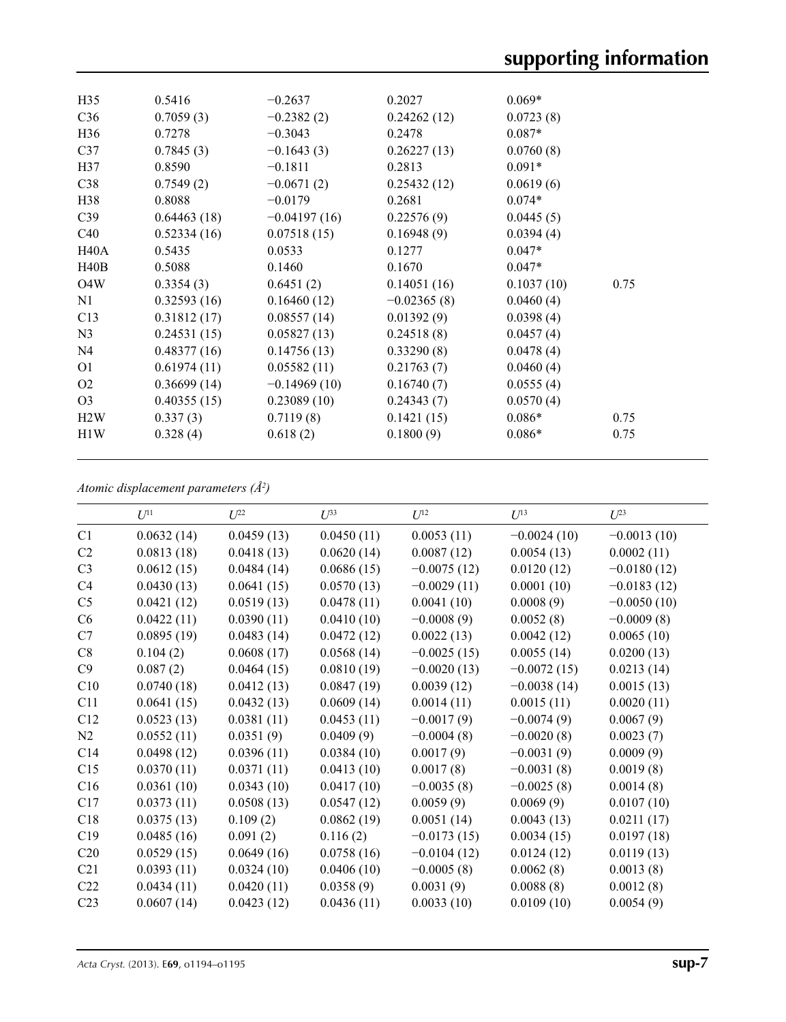| H <sub>35</sub>  | 0.5416      | $-0.2637$      | 0.2027        | $0.069*$   |      |
|------------------|-------------|----------------|---------------|------------|------|
| C <sub>36</sub>  | 0.7059(3)   | $-0.2382(2)$   | 0.24262(12)   | 0.0723(8)  |      |
| H <sub>36</sub>  | 0.7278      | $-0.3043$      | 0.2478        | $0.087*$   |      |
| C37              | 0.7845(3)   | $-0.1643(3)$   | 0.26227(13)   | 0.0760(8)  |      |
| H37              | 0.8590      | $-0.1811$      | 0.2813        | $0.091*$   |      |
| C38              | 0.7549(2)   | $-0.0671(2)$   | 0.25432(12)   | 0.0619(6)  |      |
| H38              | 0.8088      | $-0.0179$      | 0.2681        | $0.074*$   |      |
| C <sub>39</sub>  | 0.64463(18) | $-0.04197(16)$ | 0.22576(9)    | 0.0445(5)  |      |
| C40              | 0.52334(16) | 0.07518(15)    | 0.16948(9)    | 0.0394(4)  |      |
| H40A             | 0.5435      | 0.0533         | 0.1277        | $0.047*$   |      |
| H40B             | 0.5088      | 0.1460         | 0.1670        | $0.047*$   |      |
| O <sub>4</sub> W | 0.3354(3)   | 0.6451(2)      | 0.14051(16)   | 0.1037(10) | 0.75 |
| N1               | 0.32593(16) | 0.16460(12)    | $-0.02365(8)$ | 0.0460(4)  |      |
| C13              | 0.31812(17) | 0.08557(14)    | 0.01392(9)    | 0.0398(4)  |      |
| N <sub>3</sub>   | 0.24531(15) | 0.05827(13)    | 0.24518(8)    | 0.0457(4)  |      |
| N <sub>4</sub>   | 0.48377(16) | 0.14756(13)    | 0.33290(8)    | 0.0478(4)  |      |
| O <sub>1</sub>   | 0.61974(11) | 0.05582(11)    | 0.21763(7)    | 0.0460(4)  |      |
| O <sub>2</sub>   | 0.36699(14) | $-0.14969(10)$ | 0.16740(7)    | 0.0555(4)  |      |
| O <sub>3</sub>   | 0.40355(15) | 0.23089(10)    | 0.24343(7)    | 0.0570(4)  |      |
| H2W              | 0.337(3)    | 0.7119(8)      | 0.1421(15)    | $0.086*$   | 0.75 |
| H1W              | 0.328(4)    | 0.618(2)       | 0.1800(9)     | $0.086*$   | 0.75 |
|                  |             |                |               |            |      |

*Atomic displacement parameters (Å2 )*

|                 | $U^{11}$   | $U^{22}$   | $U^{33}$   | $U^{12}$      | $U^{13}$      | $U^{23}$      |
|-----------------|------------|------------|------------|---------------|---------------|---------------|
| C1              | 0.0632(14) | 0.0459(13) | 0.0450(11) | 0.0053(11)    | $-0.0024(10)$ | $-0.0013(10)$ |
| C <sub>2</sub>  | 0.0813(18) | 0.0418(13) | 0.0620(14) | 0.0087(12)    | 0.0054(13)    | 0.0002(11)    |
| C <sub>3</sub>  | 0.0612(15) | 0.0484(14) | 0.0686(15) | $-0.0075(12)$ | 0.0120(12)    | $-0.0180(12)$ |
| C4              | 0.0430(13) | 0.0641(15) | 0.0570(13) | $-0.0029(11)$ | 0.0001(10)    | $-0.0183(12)$ |
| C <sub>5</sub>  | 0.0421(12) | 0.0519(13) | 0.0478(11) | 0.0041(10)    | 0.0008(9)     | $-0.0050(10)$ |
| C6              | 0.0422(11) | 0.0390(11) | 0.0410(10) | $-0.0008(9)$  | 0.0052(8)     | $-0.0009(8)$  |
| C7              | 0.0895(19) | 0.0483(14) | 0.0472(12) | 0.0022(13)    | 0.0042(12)    | 0.0065(10)    |
| C8              | 0.104(2)   | 0.0608(17) | 0.0568(14) | $-0.0025(15)$ | 0.0055(14)    | 0.0200(13)    |
| C9              | 0.087(2)   | 0.0464(15) | 0.0810(19) | $-0.0020(13)$ | $-0.0072(15)$ | 0.0213(14)    |
| C10             | 0.0740(18) | 0.0412(13) | 0.0847(19) | 0.0039(12)    | $-0.0038(14)$ | 0.0015(13)    |
| C11             | 0.0641(15) | 0.0432(13) | 0.0609(14) | 0.0014(11)    | 0.0015(11)    | 0.0020(11)    |
| C12             | 0.0523(13) | 0.0381(11) | 0.0453(11) | $-0.0017(9)$  | $-0.0074(9)$  | 0.0067(9)     |
| N2              | 0.0552(11) | 0.0351(9)  | 0.0409(9)  | $-0.0004(8)$  | $-0.0020(8)$  | 0.0023(7)     |
| C14             | 0.0498(12) | 0.0396(11) | 0.0384(10) | 0.0017(9)     | $-0.0031(9)$  | 0.0009(9)     |
| C15             | 0.0370(11) | 0.0371(11) | 0.0413(10) | 0.0017(8)     | $-0.0031(8)$  | 0.0019(8)     |
| C16             | 0.0361(10) | 0.0343(10) | 0.0417(10) | $-0.0035(8)$  | $-0.0025(8)$  | 0.0014(8)     |
| C17             | 0.0373(11) | 0.0508(13) | 0.0547(12) | 0.0059(9)     | 0.0069(9)     | 0.0107(10)    |
| C18             | 0.0375(13) | 0.109(2)   | 0.0862(19) | 0.0051(14)    | 0.0043(13)    | 0.0211(17)    |
| C19             | 0.0485(16) | 0.091(2)   | 0.116(2)   | $-0.0173(15)$ | 0.0034(15)    | 0.0197(18)    |
| C20             | 0.0529(15) | 0.0649(16) | 0.0758(16) | $-0.0104(12)$ | 0.0124(12)    | 0.0119(13)    |
| C21             | 0.0393(11) | 0.0324(10) | 0.0406(10) | $-0.0005(8)$  | 0.0062(8)     | 0.0013(8)     |
| C22             | 0.0434(11) | 0.0420(11) | 0.0358(9)  | 0.0031(9)     | 0.0088(8)     | 0.0012(8)     |
| C <sub>23</sub> | 0.0607(14) | 0.0423(12) | 0.0436(11) | 0.0033(10)    | 0.0109(10)    | 0.0054(9)     |
|                 |            |            |            |               |               |               |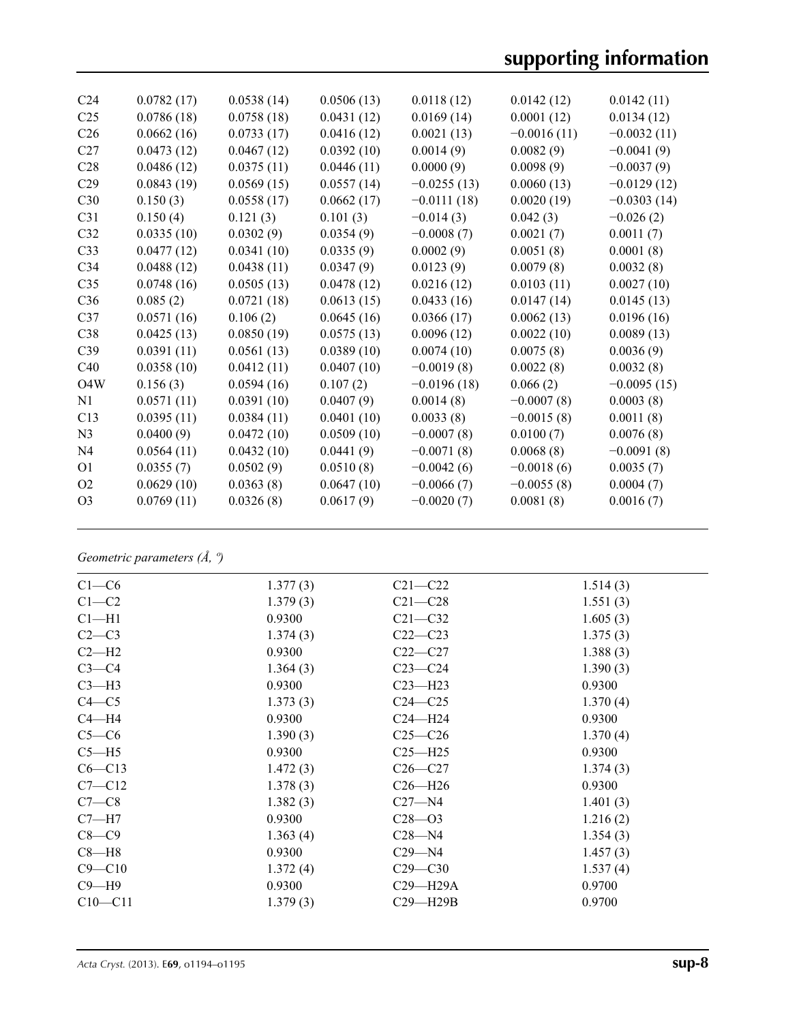# **supporting information**

| C <sub>24</sub>  | 0.0782(17) | 0.0538(14) | 0.0506(13) | 0.0118(12)    | 0.0142(12)    | 0.0142(11)    |
|------------------|------------|------------|------------|---------------|---------------|---------------|
| C <sub>25</sub>  | 0.0786(18) | 0.0758(18) | 0.0431(12) | 0.0169(14)    | 0.0001(12)    | 0.0134(12)    |
| C <sub>26</sub>  | 0.0662(16) | 0.0733(17) | 0.0416(12) | 0.0021(13)    | $-0.0016(11)$ | $-0.0032(11)$ |
| C27              | 0.0473(12) | 0.0467(12) | 0.0392(10) | 0.0014(9)     | 0.0082(9)     | $-0.0041(9)$  |
| C28              | 0.0486(12) | 0.0375(11) | 0.0446(11) | 0.0000(9)     | 0.0098(9)     | $-0.0037(9)$  |
| C29              | 0.0843(19) | 0.0569(15) | 0.0557(14) | $-0.0255(13)$ | 0.0060(13)    | $-0.0129(12)$ |
| C30              | 0.150(3)   | 0.0558(17) | 0.0662(17) | $-0.0111(18)$ | 0.0020(19)    | $-0.0303(14)$ |
| C31              | 0.150(4)   | 0.121(3)   | 0.101(3)   | $-0.014(3)$   | 0.042(3)      | $-0.026(2)$   |
| C <sub>32</sub>  | 0.0335(10) | 0.0302(9)  | 0.0354(9)  | $-0.0008(7)$  | 0.0021(7)     | 0.0011(7)     |
| C33              | 0.0477(12) | 0.0341(10) | 0.0335(9)  | 0.0002(9)     | 0.0051(8)     | 0.0001(8)     |
| C <sub>34</sub>  | 0.0488(12) | 0.0438(11) | 0.0347(9)  | 0.0123(9)     | 0.0079(8)     | 0.0032(8)     |
| C <sub>35</sub>  | 0.0748(16) | 0.0505(13) | 0.0478(12) | 0.0216(12)    | 0.0103(11)    | 0.0027(10)    |
| C36              | 0.085(2)   | 0.0721(18) | 0.0613(15) | 0.0433(16)    | 0.0147(14)    | 0.0145(13)    |
| C37              | 0.0571(16) | 0.106(2)   | 0.0645(16) | 0.0366(17)    | 0.0062(13)    | 0.0196(16)    |
| C38              | 0.0425(13) | 0.0850(19) | 0.0575(13) | 0.0096(12)    | 0.0022(10)    | 0.0089(13)    |
| C39              | 0.0391(11) | 0.0561(13) | 0.0389(10) | 0.0074(10)    | 0.0075(8)     | 0.0036(9)     |
| C40              | 0.0358(10) | 0.0412(11) | 0.0407(10) | $-0.0019(8)$  | 0.0022(8)     | 0.0032(8)     |
| O <sub>4</sub> W | 0.156(3)   | 0.0594(16) | 0.107(2)   | $-0.0196(18)$ | 0.066(2)      | $-0.0095(15)$ |
| N <sub>1</sub>   | 0.0571(11) | 0.0391(10) | 0.0407(9)  | 0.0014(8)     | $-0.0007(8)$  | 0.0003(8)     |
| C13              | 0.0395(11) | 0.0384(11) | 0.0401(10) | 0.0033(8)     | $-0.0015(8)$  | 0.0011(8)     |
| N <sub>3</sub>   | 0.0400(9)  | 0.0472(10) | 0.0509(10) | $-0.0007(8)$  | 0.0100(7)     | 0.0076(8)     |
| N <sub>4</sub>   | 0.0564(11) | 0.0432(10) | 0.0441(9)  | $-0.0071(8)$  | 0.0068(8)     | $-0.0091(8)$  |
| O <sub>1</sub>   | 0.0355(7)  | 0.0502(9)  | 0.0510(8)  | $-0.0042(6)$  | $-0.0018(6)$  | 0.0035(7)     |
| O <sub>2</sub>   | 0.0629(10) | 0.0363(8)  | 0.0647(10) | $-0.0066(7)$  | $-0.0055(8)$  | 0.0004(7)     |
| O <sub>3</sub>   | 0.0769(11) | 0.0326(8)  | 0.0617(9)  | $-0.0020(7)$  | 0.0081(8)     | 0.0016(7)     |
|                  |            |            |            |               |               |               |

*Geometric parameters (Å, º)*

| $C1-C6$     | 1.377(3) | $C21 - C22$  | 1.514(3) |  |
|-------------|----------|--------------|----------|--|
| $C1-C2$     | 1.379(3) | $C21 - C28$  | 1.551(3) |  |
| $Cl-H1$     | 0.9300   | $C21 - C32$  | 1.605(3) |  |
| $C2-C3$     | 1.374(3) | $C22-C23$    | 1.375(3) |  |
| $C2-H2$     | 0.9300   | $C22-C27$    | 1.388(3) |  |
| $C3-C4$     | 1.364(3) | $C23-C24$    | 1.390(3) |  |
| $C3-H3$     | 0.9300   | $C23 - H23$  | 0.9300   |  |
| $C4 - C5$   | 1.373(3) | $C24 - C25$  | 1.370(4) |  |
| $C4 - H4$   | 0.9300   | $C24 - H24$  | 0.9300   |  |
| $C5-C6$     | 1.390(3) | $C25-C26$    | 1.370(4) |  |
| $C5 - H5$   | 0.9300   | $C25 - H25$  | 0.9300   |  |
| $C6 - C13$  | 1.472(3) | $C26-C27$    | 1.374(3) |  |
| $C7 - C12$  | 1.378(3) | $C26 - H26$  | 0.9300   |  |
| $C7-C8$     | 1.382(3) | $C27 - N4$   | 1.401(3) |  |
| $C7 - H7$   | 0.9300   | $C28 - 03$   | 1.216(2) |  |
| $C8-C9$     | 1.363(4) | $C28 - N4$   | 1.354(3) |  |
| $C8 - H8$   | 0.9300   | $C29 - N4$   | 1.457(3) |  |
| $C9 - C10$  | 1.372(4) | $C29 - C30$  | 1.537(4) |  |
| $C9 - H9$   | 0.9300   | $C29 - H29A$ | 0.9700   |  |
| $C10 - C11$ | 1.379(3) | $C29 - H29B$ | 0.9700   |  |
|             |          |              |          |  |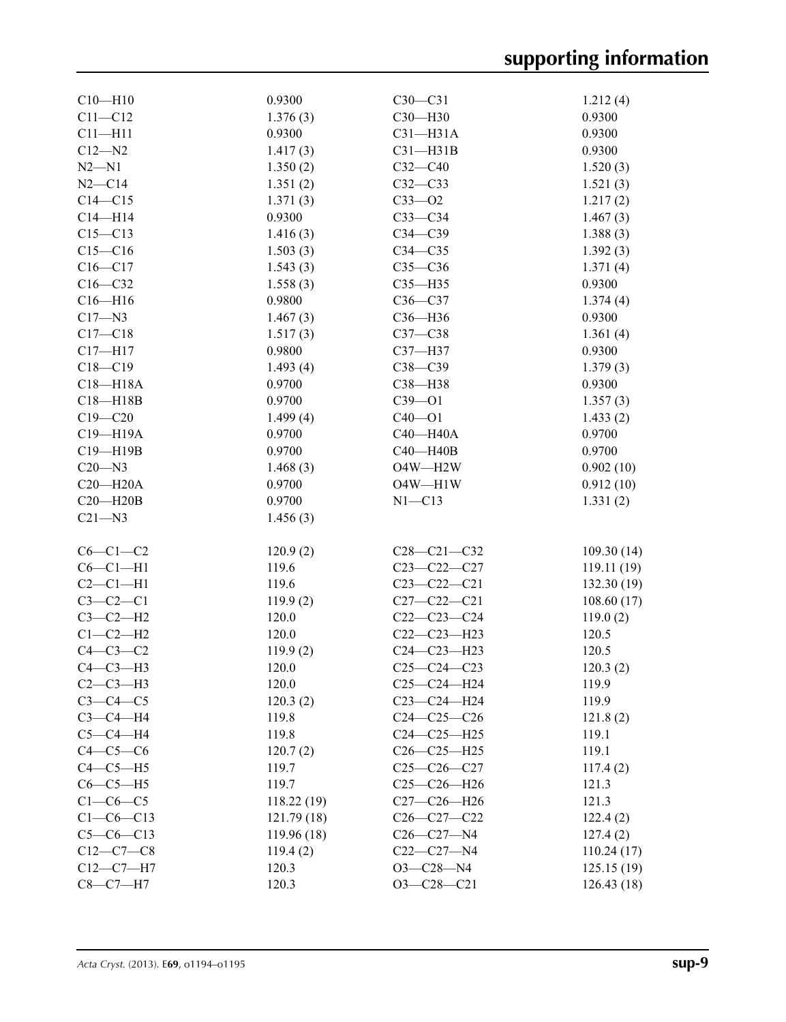| $C10 - H10$  | 0.9300      | $C30-C31$         | 1.212(4)    |
|--------------|-------------|-------------------|-------------|
| $C11 - C12$  | 1.376(3)    | C30-H30           | 0.9300      |
| $C11 - H11$  | 0.9300      | $C31 - H31A$      | 0.9300      |
| $C12 - N2$   | 1.417(3)    | $C31 - H31B$      | 0.9300      |
| $N2 - N1$    | 1.350(2)    | $C32 - C40$       | 1.520(3)    |
| $N2 - C14$   | 1.351(2)    | $C32-C33$         | 1.521(3)    |
| $C14 - C15$  | 1.371(3)    | $C33 - 02$        | 1.217(2)    |
| $C14 - H14$  | 0.9300      | $C33-C34$         | 1.467(3)    |
| $C15 - C13$  | 1.416(3)    | $C34 - C39$       | 1.388(3)    |
| $C15-C16$    | 1.503(3)    | $C34 - C35$       | 1.392(3)    |
| $C16 - C17$  | 1.543(3)    | $C35-C36$         | 1.371(4)    |
| $C16 - C32$  | 1.558(3)    | $C35 - H35$       | 0.9300      |
| $C16 - H16$  | 0.9800      | $C36-C37$         | 1.374(4)    |
| $C17 - N3$   | 1.467(3)    | C36-H36           | 0.9300      |
| $C17 - C18$  | 1.517(3)    | $C37-C38$         | 1.361(4)    |
| $C17 - H17$  | 0.9800      | C37-H37           | 0.9300      |
| $C18 - C19$  | 1.493(4)    | $C38 - C39$       | 1.379(3)    |
| $C18 - H18A$ | 0.9700      | C38-H38           | 0.9300      |
| $C18 - H18B$ | 0.9700      | $C39 - 01$        | 1.357(3)    |
| $C19 - C20$  | 1.499(4)    | $C40 - O1$        | 1.433(2)    |
| C19-H19A     | 0.9700      | $C40 - H40A$      | 0.9700      |
| C19-H19B     | 0.9700      | $C40 - H40B$      | 0.9700      |
| $C20 - N3$   | 1.468(3)    | O4W-H2W           | 0.902(10)   |
| $C20 - H20A$ | 0.9700      | $O4W - H1W$       | 0.912(10)   |
| $C20 - H20B$ | 0.9700      | $N1 - C13$        | 1.331(2)    |
| $C21 - N3$   | 1.456(3)    |                   |             |
|              |             |                   |             |
| $C6-C1-C2$   | 120.9(2)    | $C28 - C21 - C32$ | 109.30(14)  |
| $C6-C1-H1$   | 119.6       | $C23 - C22 - C27$ | 119.11(19)  |
| $C2-C1-H1$   | 119.6       | $C23 - C22 - C21$ | 132.30 (19) |
| $C3-C2-C1$   | 119.9(2)    | $C27 - C22 - C21$ | 108.60(17)  |
| $C3-C2-H2$   | 120.0       | $C22-C23-C24$     | 119.0(2)    |
| $C1-C2-H2$   | 120.0       | $C22-C23-H23$     | 120.5       |
| $C4-C3-C2$   | 119.9(2)    | $C24 - C23 - H23$ | 120.5       |
| $C4-C3-H3$   | 120.0       | $C25-C24-C23$     | 120.3(2)    |
| $C2-C3-H3$   | 120.0       | $C25 - C24 - H24$ | 119.9       |
| $C3-C4-C5$   | 120.3(2)    | C23-C24-H24       | 119.9       |
| $C3-C4-H4$   | 119.8       | $C24-C25-C26$     | 121.8(2)    |
| $C5-C4-H4$   | 119.8       | $C24 - C25 - H25$ | 119.1       |
| $C4-C5-C6$   | 120.7(2)    | $C26-C25-H25$     | 119.1       |
| $C4-C5-H5$   | 119.7       | $C25 - C26 - C27$ | 117.4(2)    |
| $C6-C5-H5$   | 119.7       | $C25 - C26 - H26$ | 121.3       |
| $C1-C6-C5$   | 118.22 (19) | $C27-C26 - H26$   | 121.3       |
| $C1-C6-C13$  | 121.79(18)  | $C26 - C27 - C22$ | 122.4(2)    |
| $C5-C6-C13$  | 119.96 (18) | $C26 - C27 - N4$  | 127.4(2)    |
| $C12-C7-C8$  | 119.4(2)    | $C22-C27 - N4$    | 110.24(17)  |
| $C12-C7-H7$  | 120.3       | $O3 - C28 - N4$   | 125.15(19)  |
| $C8-C7-H7$   | 120.3       | $O3 - C28 - C21$  | 126.43(18)  |
|              |             |                   |             |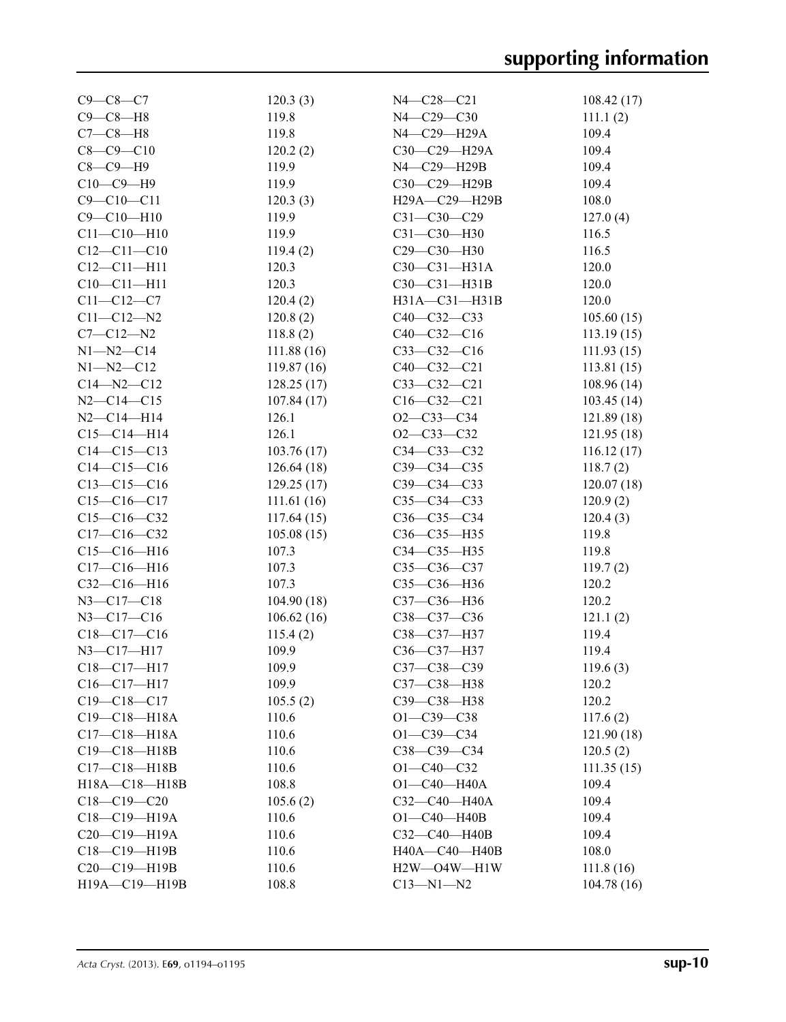| $C9 - C8 - C7$     | 120.3(3)   | N4-C28-C21        | 108.42(17) |
|--------------------|------------|-------------------|------------|
| $C9 - C8 - H8$     | 119.8      | $N4 - C29 - C30$  | 111.1(2)   |
| $C7-C8-H8$         | 119.8      | N4-C29-H29A       | 109.4      |
| $C8 - C9 - C10$    | 120.2(2)   | C30-C29-H29A      | 109.4      |
| $C8-C9-H9$         | 119.9      | N4-C29-H29B       | 109.4      |
| $C10-C9-H9$        | 119.9      | C30-C29-H29B      | 109.4      |
| $C9 - C10 - C11$   | 120.3(3)   | H29A-C29-H29B     | 108.0      |
| $C9 - C10 - H10$   | 119.9      | $C31 - C30 - C29$ | 127.0(4)   |
| $C11 - C10 - H10$  | 119.9      | $C31 - C30 - H30$ | 116.5      |
| $C12 - C11 - C10$  | 119.4(2)   | C29-C30-H30       | 116.5      |
| $C12 - C11 - H11$  | 120.3      | $C30-C31-H31A$    | 120.0      |
| $C10-C11-H11$      | 120.3      | $C30-C31-H31B$    | 120.0      |
| $C11 - C12 - C7$   | 120.4(2)   | H31A-C31-H31B     | 120.0      |
| $C11 - C12 - N2$   | 120.8(2)   | $C40-C32-C33$     | 105.60(15) |
| $C7 - C12 - N2$    | 118.8(2)   | $C40-C32-C16$     | 113.19(15) |
| $N1 - N2 - C14$    | 111.88(16) | $C33-C32-C16$     | 111.93(15) |
| $N1 - N2 - C12$    | 119.87(16) | $C40 - C32 - C21$ | 113.81(15) |
| $C14 - N2 - C12$   | 128.25(17) | $C33-C32-C21$     | 108.96(14) |
| $N2 - C14 - C15$   | 107.84(17) | $C16 - C32 - C21$ | 103.45(14) |
| $N2 - C14 - H14$   | 126.1      | $O2 - C33 - C34$  | 121.89(18) |
| $C15 - C14 - H14$  | 126.1      | $O2 - C33 - C32$  | 121.95(18) |
| $C14 - C15 - C13$  | 103.76(17) | $C34 - C33 - C32$ | 116.12(17) |
| $C14 - C15 - C16$  | 126.64(18) | $C39 - C34 - C35$ | 118.7(2)   |
| $C13 - C15 - C16$  | 129.25(17) | $C39 - C34 - C33$ | 120.07(18) |
| $C15-C16-C17$      | 111.61(16) | $C35 - C34 - C33$ | 120.9(2)   |
| $C15-C16-C32$      | 117.64(15) | $C36-C35-C34$     | 120.4(3)   |
| $C17 - C16 - C32$  | 105.08(15) | C36-C35-H35       | 119.8      |
| $C15-C16-H16$      | 107.3      | C34-C35-H35       | 119.8      |
| $C17 - C16 - H16$  | 107.3      | $C35 - C36 - C37$ | 119.7(2)   |
| C32-C16-H16        | 107.3      | C35-C36-H36       | 120.2      |
| $N3 - C17 - C18$   | 104.90(18) | C37-C36-H36       | 120.2      |
| $N3 - C17 - C16$   | 106.62(16) | C38-C37-C36       | 121.1(2)   |
| $C18-C17-C16$      | 115.4(2)   | C38-C37-H37       | 119.4      |
| $N3 - C17 - H17$   | 109.9      | C36-C37-H37       | 119.4      |
| $C18-C17-H17$      | 109.9      | C37-C38-C39       | 119.6(3)   |
| $C16 - C17 - H17$  | 109.9      | C37-C38-H38       | 120.2      |
| $C19 - C18 - C17$  | 105.5(2)   | C39-C38-H38       | 120.2      |
| $C19 - C18 - H18A$ | 110.6      | $O1 - C39 - C38$  | 117.6(2)   |
| $C17 - C18 - H18A$ | 110.6      | $O1 - C39 - C34$  | 121.90(18) |
| $C19 - C18 - H18B$ | 110.6      | C38-C39-C34       | 120.5(2)   |
| $C17 - C18 - H18B$ | 110.6      | $O1 - C40 - C32$  | 111.35(15) |
| H18A-C18-H18B      | 108.8      | $O1 - C40 - H40A$ | 109.4      |
| $C18 - C19 - C20$  | 105.6(2)   | C32-C40-H40A      | 109.4      |
| C18-C19-H19A       | 110.6      | $O1 - C40 - H40B$ | 109.4      |
| C20-C19-H19A       | 110.6      | $C32-C40-H40B$    | 109.4      |
| C18-C19-H19B       | 110.6      | H40A-C40-H40B     | 108.0      |
| C20-C19-H19B       | 110.6      | H2W-O4W-H1W       | 111.8(16)  |
| H19A-C19-H19B      | 108.8      | $C13 - N1 - N2$   | 104.78(16) |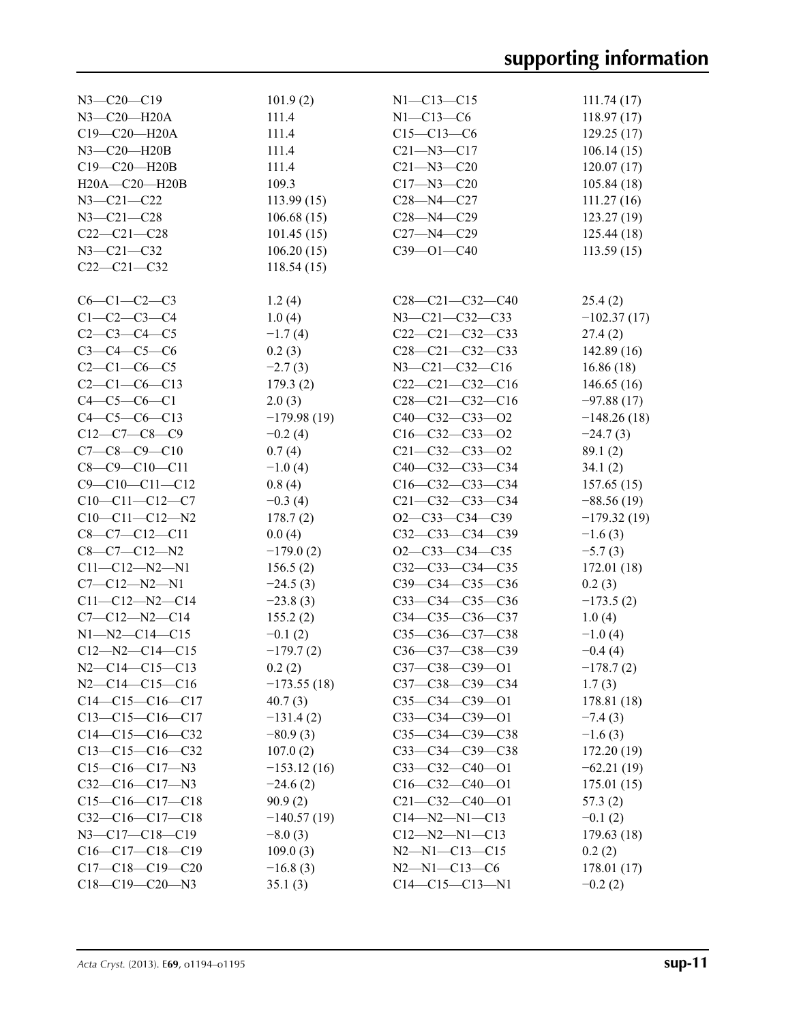| $N3 - C20 - C19$       | 101.9(2)      | $N1 - C13 - C15$        | 111.74(17)    |
|------------------------|---------------|-------------------------|---------------|
| N3-C20-H20A            | 111.4         | $N1 - C13 - C6$         | 118.97(17)    |
| C19-C20-H20A           | 111.4         | $C15-C13-C6$            | 129.25(17)    |
| N3-C20-H20B            | 111.4         | $C21 - N3 - C17$        | 106.14(15)    |
| C19-C20-H20B           | 111.4         | $C21 - N3 - C20$        | 120.07(17)    |
| H20A-C20-H20B          | 109.3         | $C17 - N3 - C20$        | 105.84(18)    |
| $N3 - C21 - C22$       | 113.99(15)    | $C28 - N4 - C27$        | 111.27(16)    |
| $N3 - C21 - C28$       | 106.68(15)    | $C28 - N4 - C29$        | 123.27(19)    |
| $C22-C21-C28$          |               |                         |               |
|                        | 101.45(15)    | $C27 - N4 - C29$        | 125.44(18)    |
| $N3 - C21 - C32$       | 106.20(15)    | $C39 - 01 - C40$        | 113.59(15)    |
| $C22-C21-C32$          | 118.54(15)    |                         |               |
|                        |               |                         |               |
| $C6-C1-C2-C3$          | 1.2(4)        | $C28-C21-C32-C40$       | 25.4(2)       |
| $C1-C2-C3-C4$          | 1.0(4)        | N3-C21-C32-C33          | $-102.37(17)$ |
| $C2 - C3 - C4 - C5$    | $-1.7(4)$     | $C22-C21-C32-C33$       | 27.4(2)       |
| $C3 - C4 - C5 - C6$    | 0.2(3)        | $C28-C21-C32-C33$       | 142.89(16)    |
| $C2 - C1 - C6 - C5$    | $-2.7(3)$     | $N3 - C21 - C32 - C16$  | 16.86(18)     |
| $C2 - C1 - C6 - C13$   | 179.3(2)      | $C22-C21-C32-C16$       | 146.65(16)    |
| $C4 - C5 - C6 - C1$    | 2.0(3)        | $C28-C21-C32-C16$       | $-97.88(17)$  |
| $C4 - C5 - C6 - C13$   | $-179.98(19)$ | $C40-C32-C33-O2$        | $-148.26(18)$ |
| $C12-C7-C8-C9$         | $-0.2(4)$     | $C16-C32-C33-02$        | $-24.7(3)$    |
| $C7 - C8 - C9 - C10$   | 0.7(4)        | $C21 - C32 - C33 - O2$  | 89.1(2)       |
| $C8 - C9 - C10 - C11$  | $-1.0(4)$     | C40-C32-C33-C34         | 34.1(2)       |
| $C9 - C10 - C11 - C12$ | 0.8(4)        | $C16-C32-C33-C34$       | 157.65(15)    |
| $C10-C11-C12-C7$       | $-0.3(4)$     | $C21 - C32 - C33 - C34$ | $-88.56(19)$  |
| $C10-C11-C12-N2$       | 178.7(2)      | $O2-C33-C34-C39$        | $-179.32(19)$ |
| $C8-C7-C12-C11$        | 0.0(4)        | $C32-C33-C34-C39$       | $-1.6(3)$     |
| $C8-C7-C12-N2$         | $-179.0(2)$   | O2-C33-C34-C35          | $-5.7(3)$     |
| $C11 - C12 - N2 - N1$  | 156.5(2)      | $C32-C33-C34-C35$       | 172.01(18)    |
| $C7 - C12 - N2 - N1$   | $-24.5(3)$    | $C39-C34-C35-C36$       | 0.2(3)        |
|                        |               |                         |               |
| $C11 - C12 - N2 - C14$ | $-23.8(3)$    | $C33-C34-C35-C36$       | $-173.5(2)$   |
| $C7 - C12 - N2 - C14$  | 155.2(2)      | $C34 - C35 - C36 - C37$ | 1.0(4)        |
| $N1 - N2 - C14 - C15$  | $-0.1(2)$     | C35-C36-C37-C38         | $-1.0(4)$     |
| $C12 - N2 - C14 - C15$ | $-179.7(2)$   | C36-C37-C38-C39         | $-0.4(4)$     |
| $N2 - C14 - C15 - C13$ | 0.2(2)        | C37-C38-C39-O1          | $-178.7(2)$   |
| $N2 - C14 - C15 - C16$ | $-173.55(18)$ | $C37 - C38 - C39 - C34$ | 1.7(3)        |
| $C14-C15-C16-C17$      | 40.7(3)       | $C35-C34-C39-01$        | 178.81 (18)   |
| $C13-C15-C16-C17$      | $-131.4(2)$   | $C33-C34-C39-01$        | $-7.4(3)$     |
| $C14-C15-C16-C32$      | $-80.9(3)$    | C35-C34-C39-C38         | $-1.6(3)$     |
| $C13-C15-C16-C32$      | 107.0(2)      | $C33 - C34 - C39 - C38$ | 172.20(19)    |
| $C15-C16-C17-N3$       | $-153.12(16)$ | $C33-C32-C40-01$        | $-62.21(19)$  |
| $C32-C16-C17-N3$       | $-24.6(2)$    | $C16-C32-C40-O1$        | 175.01(15)    |
| $C15-C16-C17-C18$      | 90.9(2)       | $C21 - C32 - C40 - 01$  | 57.3(2)       |
| $C32-C16-C17-C18$      | $-140.57(19)$ | $C14 - N2 - N1 - C13$   | $-0.1(2)$     |
| N3-C17-C18-C19         | $-8.0(3)$     | $C12 - N2 - N1 - C13$   | 179.63 (18)   |
| $C16-C17-C18-C19$      | 109.0(3)      | $N2 - N1 - C13 - C15$   | 0.2(2)        |
| $C17-C18-C19-C20$      | $-16.8(3)$    | $N2 - N1 - C13 - C6$    | 178.01(17)    |
| $C18-C19-C20-N3$       | 35.1(3)       | $C14-C15-C13-N1$        | $-0.2(2)$     |